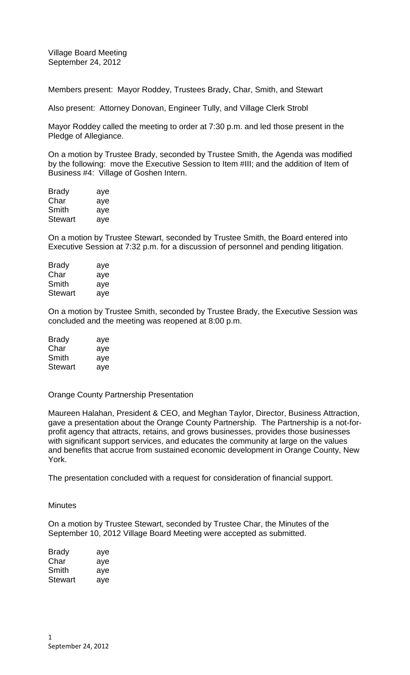Village Board Meeting September 24, 2012

Members present: Mayor Roddey, Trustees Brady, Char, Smith, and Stewart

Also present: Attorney Donovan, Engineer Tully, and Village Clerk Strobl

Mayor Roddey called the meeting to order at 7:30 p.m. and led those present in the Pledge of Allegiance.

On a motion by Trustee Brady, seconded by Trustee Smith, the Agenda was modified by the following: move the Executive Session to Item #III; and the addition of Item of Business #4: Village of Goshen Intern.

| <b>Brady</b> | aye |
|--------------|-----|
| Char         | aye |
| Smith        | aye |
| Stewart      | aye |

On a motion by Trustee Stewart, seconded by Trustee Smith, the Board entered into Executive Session at 7:32 p.m. for a discussion of personnel and pending litigation.

| aye |
|-----|
| aye |
| aye |
| aye |
|     |

On a motion by Trustee Smith, seconded by Trustee Brady, the Executive Session was concluded and the meeting was reopened at 8:00 p.m.

| <b>Brady</b>   | aye |
|----------------|-----|
| Char           | aye |
| Smith          | aye |
| <b>Stewart</b> | aye |

## Orange County Partnership Presentation

Maureen Halahan, President & CEO, and Meghan Taylor, Director, Business Attraction, gave a presentation about the Orange County Partnership. The Partnership is a not-forprofit agency that attracts, retains, and grows businesses, provides those businesses with significant support services, and educates the community at large on the values and benefits that accrue from sustained economic development in Orange County, New York.

The presentation concluded with a request for consideration of financial support.

**Minutes** 

On a motion by Trustee Stewart, seconded by Trustee Char, the Minutes of the September 10, 2012 Village Board Meeting were accepted as submitted.

| Brady   | aye |
|---------|-----|
| Char    | aye |
| Smith   | aye |
| Stewart | aye |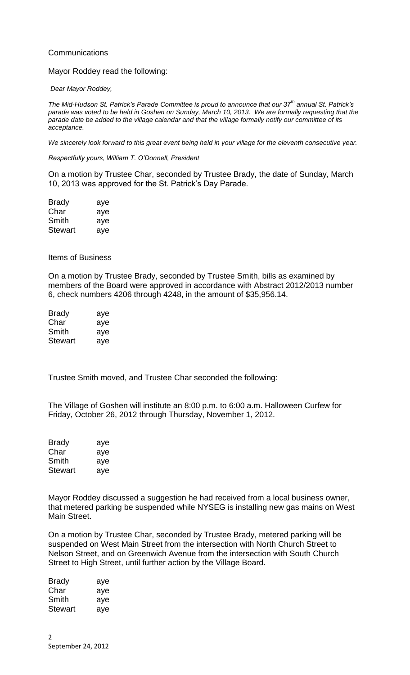# **Communications**

### Mayor Roddey read the following:

#### *Dear Mayor Roddey,*

*The Mid-Hudson St. Patrick's Parade Committee is proud to announce that our 37th annual St. Patrick's parade was voted to be held in Goshen on Sunday, March 10, 2013. We are formally requesting that the parade date be added to the village calendar and that the village formally notify our committee of its acceptance.*

*We sincerely look forward to this great event being held in your village for the eleventh consecutive year.*

*Respectfully yours, William T. O'Donnell, President*

On a motion by Trustee Char, seconded by Trustee Brady, the date of Sunday, March 10, 2013 was approved for the St. Patrick's Day Parade.

| <b>Brady</b>   | aye |
|----------------|-----|
| Char           | aye |
| Smith          | aye |
| <b>Stewart</b> | aye |

### Items of Business

On a motion by Trustee Brady, seconded by Trustee Smith, bills as examined by members of the Board were approved in accordance with Abstract 2012/2013 number 6, check numbers 4206 through 4248, in the amount of \$35,956.14.

| Brady   | aye |
|---------|-----|
| Char    | aye |
| Smith   | aye |
| Stewart | aye |

Trustee Smith moved, and Trustee Char seconded the following:

The Village of Goshen will institute an 8:00 p.m. to 6:00 a.m. Halloween Curfew for Friday, October 26, 2012 through Thursday, November 1, 2012.

| <b>Brady</b>   | aye |
|----------------|-----|
| Char           | aye |
| Smith          | aye |
| <b>Stewart</b> | aye |

Mayor Roddey discussed a suggestion he had received from a local business owner, that metered parking be suspended while NYSEG is installing new gas mains on West Main Street.

On a motion by Trustee Char, seconded by Trustee Brady, metered parking will be suspended on West Main Street from the intersection with North Church Street to Nelson Street, and on Greenwich Avenue from the intersection with South Church Street to High Street, until further action by the Village Board.

| <b>Brady</b> | aye |
|--------------|-----|
| Char         | aye |
| Smith        | aye |
| Stewart      | aye |